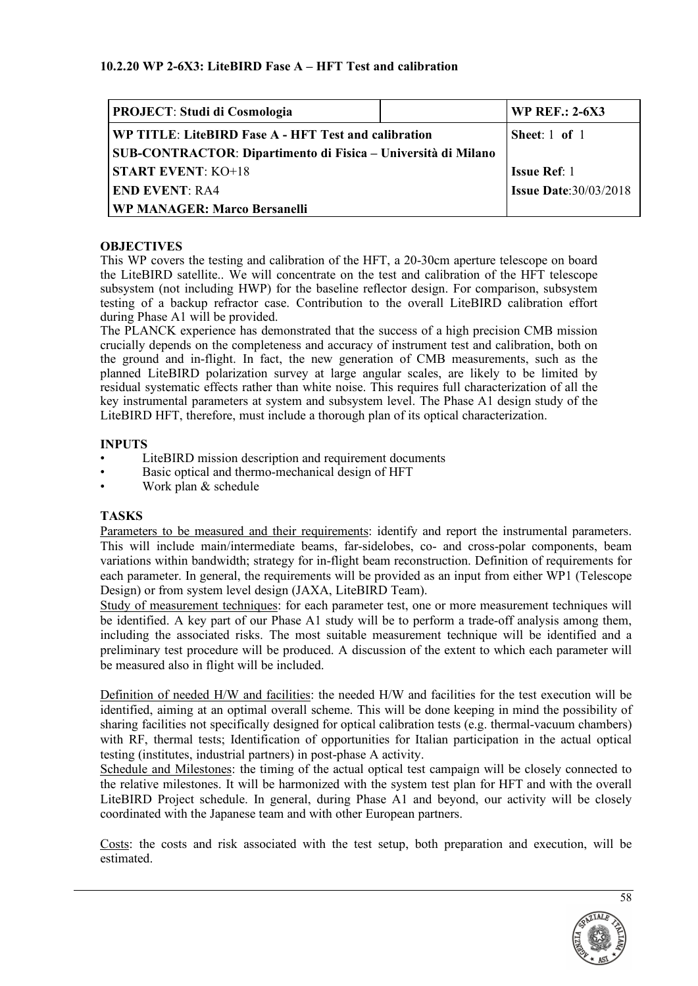| <b>PROJECT: Studi di Cosmologia</b>                           |  | <b>WP REF.: 2-6X3</b>        |
|---------------------------------------------------------------|--|------------------------------|
| WP TITLE: LiteBIRD Fase A - HFT Test and calibration          |  | Sheet: 1 of 1                |
| SUB-CONTRACTOR: Dipartimento di Fisica – Università di Milano |  |                              |
| <b>START EVENT: KO+18</b>                                     |  | <b>Issue Ref: 1</b>          |
| <b>END EVENT: RA4</b>                                         |  | <b>Issue Date:30/03/2018</b> |
| <b>WP MANAGER: Marco Bersanelli</b>                           |  |                              |

### **OBJECTIVES**

This WP covers the testing and calibration of the HFT, a 20-30cm aperture telescope on board the LiteBIRD satellite.. We will concentrate on the test and calibration of the HFT telescope subsystem (not including HWP) for the baseline reflector design. For comparison, subsystem testing of a backup refractor case. Contribution to the overall LiteBIRD calibration effort during Phase A1 will be provided.

The PLANCK experience has demonstrated that the success of a high precision CMB mission crucially depends on the completeness and accuracy of instrument test and calibration, both on the ground and in-flight. In fact, the new generation of CMB measurements, such as the planned LiteBIRD polarization survey at large angular scales, are likely to be limited by residual systematic effects rather than white noise. This requires full characterization of all the key instrumental parameters at system and subsystem level. The Phase A1 design study of the LiteBIRD HFT, therefore, must include a thorough plan of its optical characterization.

### **INPUTS**

- LiteBIRD mission description and requirement documents
- Basic optical and thermo-mechanical design of HFT
- Work plan & schedule

### **TASKS**

Parameters to be measured and their requirements: identify and report the instrumental parameters. This will include main/intermediate beams, far-sidelobes, co- and cross-polar components, beam variations within bandwidth; strategy for in-flight beam reconstruction. Definition of requirements for each parameter. In general, the requirements will be provided as an input from either WP1 (Telescope Design) or from system level design (JAXA, LiteBIRD Team).

Study of measurement techniques: for each parameter test, one or more measurement techniques will be identified. A key part of our Phase A1 study will be to perform a trade-off analysis among them, including the associated risks. The most suitable measurement technique will be identified and a preliminary test procedure will be produced. A discussion of the extent to which each parameter will be measured also in flight will be included.

Definition of needed H/W and facilities: the needed H/W and facilities for the test execution will be identified, aiming at an optimal overall scheme. This will be done keeping in mind the possibility of sharing facilities not specifically designed for optical calibration tests (e.g. thermal-vacuum chambers) with RF, thermal tests; Identification of opportunities for Italian participation in the actual optical testing (institutes, industrial partners) in post-phase A activity.

Schedule and Milestones: the timing of the actual optical test campaign will be closely connected to the relative milestones. It will be harmonized with the system test plan for HFT and with the overall LiteBIRD Project schedule. In general, during Phase A1 and beyond, our activity will be closely coordinated with the Japanese team and with other European partners.

Costs: the costs and risk associated with the test setup, both preparation and execution, will be estimated.